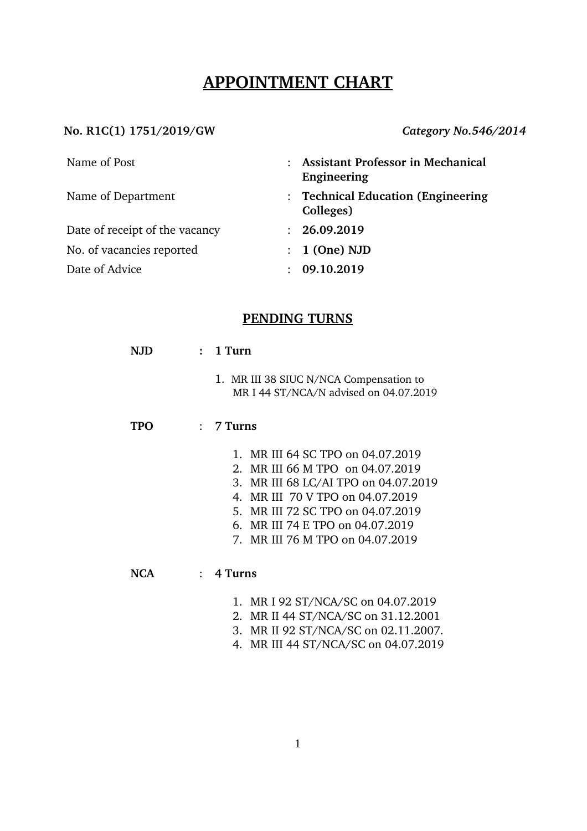# **APPOINTMENT CHART**

### No. R1C(1) 1751/2019/GW *Category No.546/2014*

| Name of Post                   |               | <b>Assistant Professor in Mechanical</b><br>Engineering |
|--------------------------------|---------------|---------------------------------------------------------|
| Name of Department             |               | : Technical Education (Engineering<br>Colleges)         |
| Date of receipt of the vacancy | $\mathcal{L}$ | 26.09.2019                                              |
| No. of vacancies reported      |               | $: 1$ (One) NJD                                         |
| Date of Advice                 | ٠             | 09.10.2019                                              |

## **PENDING TURNS**

| <b>NJD</b> | $: 1$ Turn                                                                        |  |  |
|------------|-----------------------------------------------------------------------------------|--|--|
|            | 1. MR III 38 SIUC N/NCA Compensation to<br>MR I 44 ST/NCA/N advised on 04.07.2019 |  |  |
| TPO        | $: 7$ Turns                                                                       |  |  |

- 1. MR III 64 SC TPO on 04.07.2019
- 2. MR III 66 M TPO on 04.07.2019
- 3. MR III 68 LC/AI TPO on 04.07.2019
- 4. MR III 70 V TPO on 04.07.2019
- 5. MR III 72 SC TPO on 04.07.2019
- 6. MR III 74 E TPO on 04.07.2019
- 7. MR III 76 M TPO on 04.07.2019

#### **NCA** : **4 Turns**

- 1. MR I 92 ST/NCA/SC on 04.07.2019
- 2. MR II 44 ST/NCA/SC on 31.12.2001
- 3. MR II 92 ST/NCA/SC on 02.11.2007.
- 4. MR III 44 ST/NCA/SC on 04.07.2019